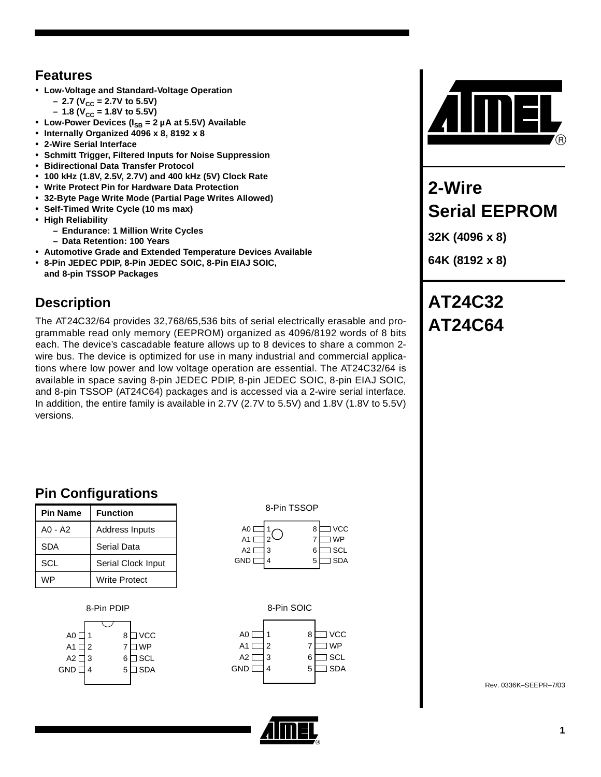### **Features**

- **Low-Voltage and Standard-Voltage Operation**
	- $-$  2.7 (V<sub>CC</sub> = 2.7V to 5.5V)
	- $-1.8$  (V<sub>CC</sub> = 1.8V to 5.5V)
- Low-Power Devices (I<sub>SB</sub> = 2 µA at 5.5V) Available
- **Internally Organized 4096 x 8, 8192 x 8**
- **2-Wire Serial Interface**
- **Schmitt Trigger, Filtered Inputs for Noise Suppression**
- **Bidirectional Data Transfer Protocol**
- **100 kHz (1.8V, 2.5V, 2.7V) and 400 kHz (5V) Clock Rate**
- **Write Protect Pin for Hardware Data Protection**
- **32-Byte Page Write Mode (Partial Page Writes Allowed)**
- **Self-Timed Write Cycle (10 ms max)**
- **High Reliability**
	- **Endurance: 1 Million Write Cycles**
	- **Data Retention: 100 Years**
- **Automotive Grade and Extended Temperature Devices Available**
- **8-Pin JEDEC PDIP, 8-Pin JEDEC SOIC, 8-Pin EIAJ SOIC, and 8-pin TSSOP Packages**

## **Description**

The AT24C32/64 provides 32,768/65,536 bits of serial electrically erasable and programmable read only memory (EEPROM) organized as 4096/8192 words of 8 bits each. The device's cascadable feature allows up to 8 devices to share a common 2 wire bus. The device is optimized for use in many industrial and commercial applications where low power and low voltage operation are essential. The AT24C32/64 is available in space saving 8-pin JEDEC PDIP, 8-pin JEDEC SOIC, 8-pin EIAJ SOIC, and 8-pin TSSOP (AT24C64) packages and is accessed via a 2-wire serial interface. In addition, the entire family is available in 2.7V (2.7V to 5.5V) and 1.8V (1.8V to 5.5V) versions.

# **2-Wire Serial EEPROM**

**32K (4096 x 8)**

**64K (8192 x 8)**

# **AT24C32 AT24C64**

## **Pin Configurations**

| Pin Name | <b>Function</b>       |
|----------|-----------------------|
| A0 - A2  | <b>Address Inputs</b> |
| SDA      | Serial Data           |
| SCL      | Serial Clock Input    |
| WP.      | <b>Write Protect</b>  |

### 8-Pin PDIP



#### 8-Pin TSSOP



#### 8-Pin SOIC 1 2 3 4 8 7 6 5  $AO<sub>0</sub>$  $A1 \Gamma$  $A2\Box$  $GND \sqsubset$ T<sub>VCC</sub> WP  $\exists$  SCL  $\sqsupset$  SDA



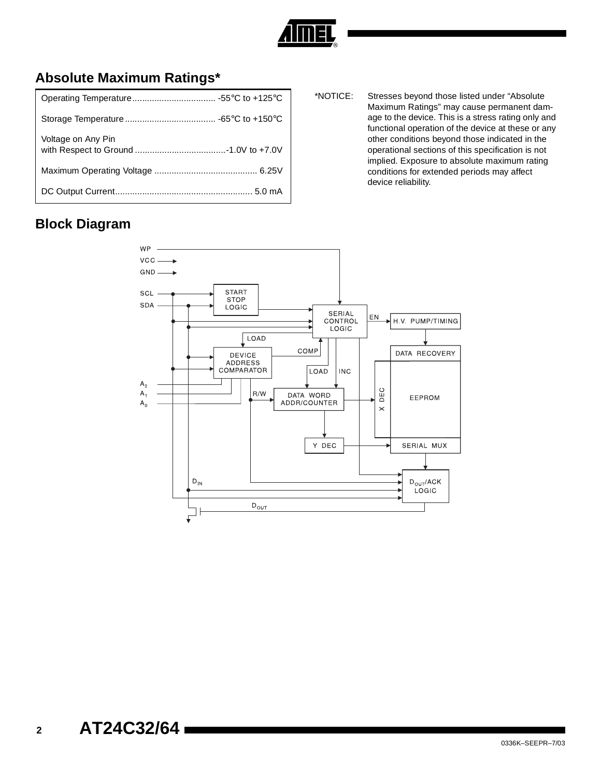

### **Absolute Maximum Ratings\***

| Voltage on Any Pin |
|--------------------|
|                    |
|                    |

\*NOTICE: Stresses beyond those listed under "Absolute Maximum Ratings" may cause permanent damage to the device. This is a stress rating only and functional operation of the device at these or any other conditions beyond those indicated in the operational sections of this specification is not implied. Exposure to absolute maximum rating conditions for extended periods may affect device reliability.

## **Block Diagram**

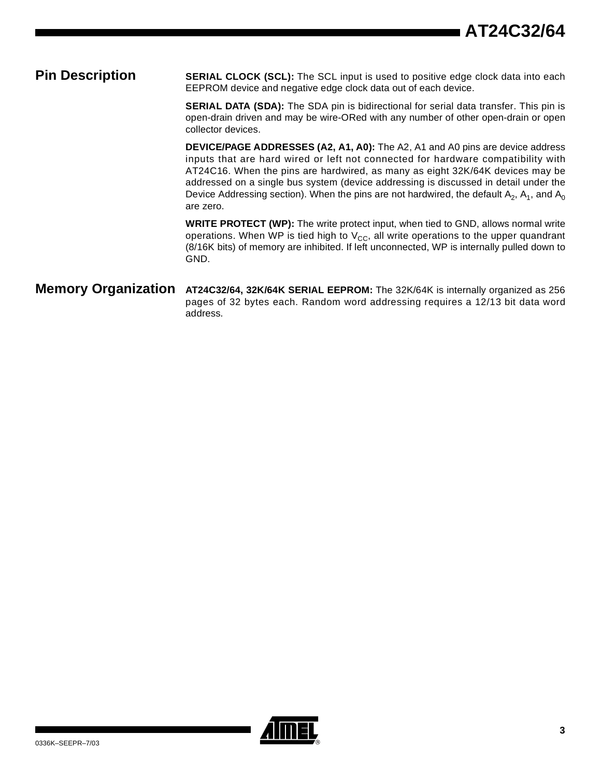**Pin Description SERIAL CLOCK (SCL):** The SCL input is used to positive edge clock data into each EEPROM device and negative edge clock data out of each device.

> **SERIAL DATA (SDA):** The SDA pin is bidirectional for serial data transfer. This pin is open-drain driven and may be wire-ORed with any number of other open-drain or open collector devices.

> **DEVICE/PAGE ADDRESSES (A2, A1, A0):** The A2, A1 and A0 pins are device address inputs that are hard wired or left not connected for hardware compatibility with AT24C16. When the pins are hardwired, as many as eight 32K/64K devices may be addressed on a single bus system (device addressing is discussed in detail under the Device Addressing section). When the pins are not hardwired, the default  $A_2$ ,  $A_1$ , and  $A_0$ are zero.

> **WRITE PROTECT (WP):** The write protect input, when tied to GND, allows normal write operations. When WP is tied high to  $V_{CC}$ , all write operations to the upper quandrant (8/16K bits) of memory are inhibited. If left unconnected, WP is internally pulled down to GND.

**Memory Organization AT24C32/64, 32K/64K SERIAL EEPROM:** The 32K/64K is internally organized as 256 pages of 32 bytes each. Random word addressing requires a 12/13 bit data word address.

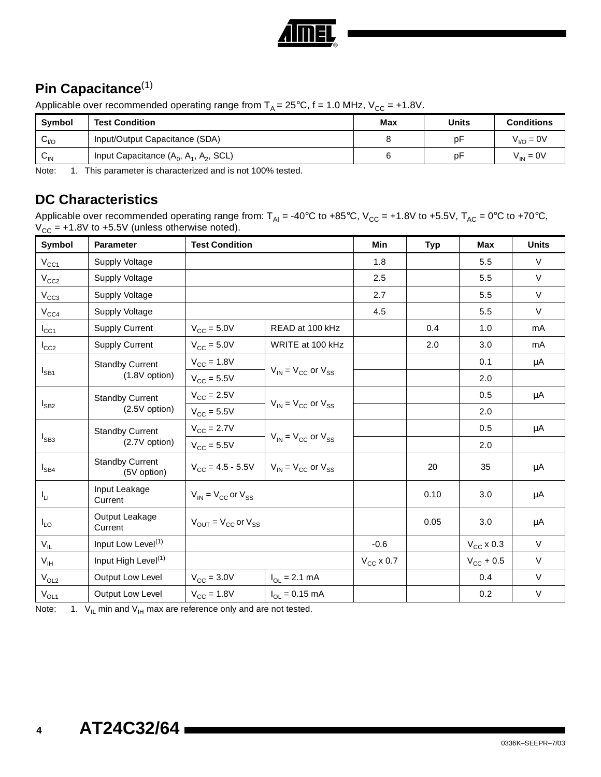

## **Pin Capacitance**(1)

Applicable over recommended operating range from  $T_A = 25^{\circ}C$ ,  $f = 1.0$  MHz,  $V_{CC} = +1.8V$ .

| Symbol             | <b>Test Condition</b>                    | <b>Max</b> | Units | <b>Conditions</b> |
|--------------------|------------------------------------------|------------|-------|-------------------|
| $\mathtt{C_{1/O}}$ | Input/Output Capacitance (SDA)           |            | рF    | $V_{I/O} = 0V$    |
| $C_{\text{IN}}$    | Input Capacitance $(A_0, A_1, A_2, SCL)$ |            | рF    | $V_{IN} = 0V$     |

Note: 1. This parameter is characterized and is not 100% tested.

### **DC Characteristics**

Applicable over recommended operating range from: T<sub>AI</sub> = -40°C to +85°C, V<sub>CC</sub> = +1.8V to +5.5V, T<sub>AC</sub> = 0°C to +70°C,  $V_{CC}$  = +1.8V to +5.5V (unless otherwise noted).

| Symbol        | <b>Parameter</b>                      | <b>Test Condition</b>                               |                                                      | Min                | <b>Typ</b> | Max                | <b>Units</b> |
|---------------|---------------------------------------|-----------------------------------------------------|------------------------------------------------------|--------------------|------------|--------------------|--------------|
| $V_{CC1}$     | Supply Voltage                        |                                                     |                                                      | 1.8                |            | 5.5                | $\vee$       |
| $V_{CC2}$     | Supply Voltage                        |                                                     |                                                      |                    |            | 5.5                | $\vee$       |
| $V_{CC3}$     | Supply Voltage                        |                                                     |                                                      | 2.7                |            | 5.5                | V            |
| $V_{CC4}$     | Supply Voltage                        |                                                     |                                                      | 4.5                |            | 5.5                | $\vee$       |
| $I_{\rm CC1}$ | <b>Supply Current</b>                 | $V_{\text{CC}} = 5.0V$                              | READ at 100 kHz                                      |                    | 0.4        | 1.0                | mA           |
| $I_{CC2}$     | <b>Supply Current</b>                 | $V_{CC}$ = 5.0V                                     | WRITE at 100 kHz                                     |                    | 2.0        | 3.0                | mA           |
|               | <b>Standby Current</b>                | $V_{\rm CC} = 1.8V$                                 |                                                      |                    |            | 0.1                | μA           |
| $I_{SB1}$     | $(1.8V$ option)                       | $V_{CC}$ = 5.5V                                     | $V_{IN}$ = $V_{CC}$ or $V_{SS}$                      |                    |            | 2.0                |              |
|               | <b>Standby Current</b>                |                                                     |                                                      |                    |            | 0.5                | μA           |
| $I_{SB2}$     | (2.5V option)                         | $V_{\text{CC}}$ = 5.5V                              | $V_{IN}$ = $V_{CC}$ or $V_{SS}$                      |                    |            | 2.0                |              |
|               | <b>Standby Current</b>                | $V_{CC} = 2.7V$                                     |                                                      |                    |            | 0.5                | $\mu$ A      |
| $I_{SB3}$     | (2.7V option)                         | $V_{CC}$ = 5.5V                                     | $V_{IN}$ = $V_{CC}$ or $V_{SS}$                      |                    |            | 2.0                |              |
| $I_{SB4}$     | <b>Standby Current</b><br>(5V option) | $V_{CC} = 4.5 - 5.5V$                               | $V_{\text{IN}}$ = $V_{\text{CC}}$ or $V_{\text{SS}}$ |                    | 20         | 35                 | $\mu$ A      |
| $I_{LI}$      | Input Leakage<br>Current              | $V_{IN}$ = $V_{CC}$ or $V_{SS}$                     |                                                      |                    | 0.10       | 3.0                | $\mu$ A      |
| $I_{LO}$      | Output Leakage<br>Current             | $V_{\text{OUT}} = V_{\text{CC}}$ or $V_{\text{SS}}$ |                                                      |                    | 0.05       | 3.0                | $\mu$ A      |
| $V_{IL}$      | Input Low Level <sup>(1)</sup>        |                                                     |                                                      | $-0.6$             |            | $V_{CC}$ x 0.3     | $\vee$       |
| $V_{IH}$      | Input High Level <sup>(1)</sup>       |                                                     |                                                      | $V_{\rm CC}$ x 0.7 |            | $V_{\rm CC}$ + 0.5 | $\vee$       |
| $V_{OL2}$     | Output Low Level                      | $V_{\text{CC}} = 3.0V$                              | $I_{OL} = 2.1$ mA                                    |                    |            | 0.4                | $\vee$       |
| $V_{OL1}$     | Output Low Level                      | $V_{CC} = 1.8V$                                     | $I_{OL} = 0.15$ mA                                   |                    |            | 0.2                | V            |

Note: 1.  $V_{IL}$  min and  $V_{IH}$  max are reference only and are not tested.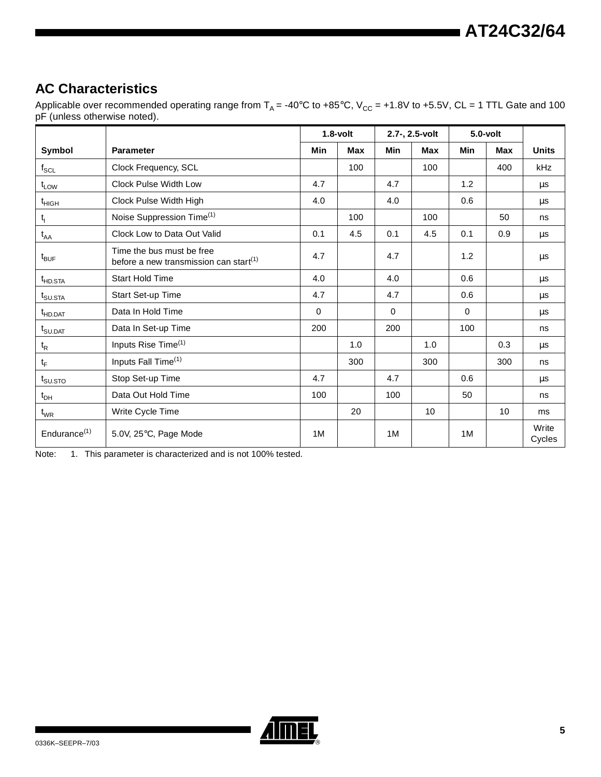# **AT24C32/64**

### **AC Characteristics**

Applicable over recommended operating range from  $T_A = -40^\circ \text{C}$  to  $+85^\circ \text{C}$ ,  $V_{CC} = +1.8V$  to  $+5.5V$ , CL = 1 TTL Gate and 100 pF (unless otherwise noted).

|                                 |                                                                                 |            | $1.8$ -volt |             | 2.7-, 2.5-volt |             | $5.0$ -volt |                 |
|---------------------------------|---------------------------------------------------------------------------------|------------|-------------|-------------|----------------|-------------|-------------|-----------------|
| Symbol                          | <b>Parameter</b>                                                                | <b>Min</b> | <b>Max</b>  | <b>Min</b>  | <b>Max</b>     | Min         | <b>Max</b>  | <b>Units</b>    |
| $f_{\rm SCL}$                   | Clock Frequency, SCL                                                            |            | 100         |             | 100            |             | 400         | kHz             |
| $t_{LOW}$                       | <b>Clock Pulse Width Low</b>                                                    | 4.7        |             | 4.7         |                | 1.2         |             | $\mu s$         |
| $t_{\text{HIGH}}$               | Clock Pulse Width High                                                          | 4.0        |             | 4.0         |                | 0.6         |             | μs              |
| $t_{\rm i}$                     | Noise Suppression Time <sup>(1)</sup>                                           |            | 100         |             | 100            |             | 50          | ns              |
| $t_{AA}$                        | Clock Low to Data Out Valid                                                     | 0.1        | 4.5         | 0.1         | 4.5            | 0.1         | 0.9         | μs              |
| $t_{\text{BUF}}$                | Time the bus must be free<br>before a new transmission can start <sup>(1)</sup> | 4.7        |             | 4.7         |                | 1.2         |             | $\mu s$         |
| $t_{HD,STA}$                    | <b>Start Hold Time</b>                                                          | 4.0        |             | 4.0         |                | 0.6         |             | μs              |
| $t_{\scriptstyle\text{SU,STA}}$ | Start Set-up Time                                                               | 4.7        |             | 4.7         |                | 0.6         |             | μs              |
| $t_{\mathsf{HD}.\mathsf{DAT}}$  | Data In Hold Time                                                               | $\Omega$   |             | $\mathbf 0$ |                | $\mathbf 0$ |             | μs              |
| $t_{\scriptstyle\text{SULDAT}}$ | Data In Set-up Time                                                             | 200        |             | 200         |                | 100         |             | ns              |
| $t_{\mathsf{R}}$                | Inputs Rise Time <sup>(1)</sup>                                                 |            | 1.0         |             | 1.0            |             | 0.3         | μs              |
| $t_F$                           | Inputs Fall Time <sup>(1)</sup>                                                 |            | 300         |             | 300            |             | 300         | ns              |
| $t_{\text{SU,STO}}$             | Stop Set-up Time                                                                | 4.7        |             | 4.7         |                | 0.6         |             | $\mu s$         |
| $t_{\sf DH}$                    | Data Out Hold Time                                                              | 100        |             | 100         |                | 50          |             | ns              |
| $t_{WR}$                        | Write Cycle Time                                                                |            | 20          |             | 10             |             | 10          | ms              |
| Endurance <sup>(1)</sup>        | 5.0V, 25°C, Page Mode                                                           | 1M         |             | 1M          |                | 1M          |             | Write<br>Cycles |

Note: 1. This parameter is characterized and is not 100% tested.

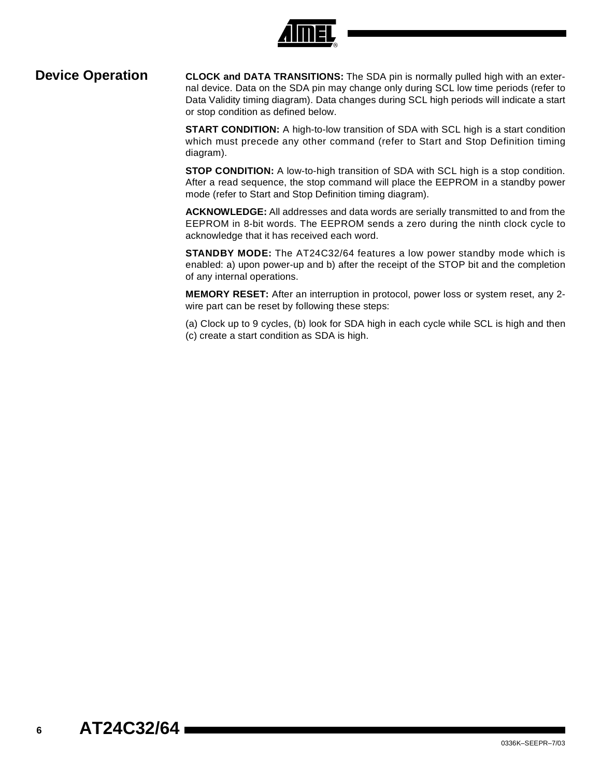

**Device Operation CLOCK and DATA TRANSITIONS:** The SDA pin is normally pulled high with an external device. Data on the SDA pin may change only during SCL low time periods (refer to Data Validity timing diagram). Data changes during SCL high periods will indicate a start or stop condition as defined below.

> **START CONDITION:** A high-to-low transition of SDA with SCL high is a start condition which must precede any other command (refer to Start and Stop Definition timing diagram).

> **STOP CONDITION:** A low-to-high transition of SDA with SCL high is a stop condition. After a read sequence, the stop command will place the EEPROM in a standby power mode (refer to Start and Stop Definition timing diagram).

> **ACKNOWLEDGE:** All addresses and data words are serially transmitted to and from the EEPROM in 8-bit words. The EEPROM sends a zero during the ninth clock cycle to acknowledge that it has received each word.

> **STANDBY MODE:** The AT24C32/64 features a low power standby mode which is enabled: a) upon power-up and b) after the receipt of the STOP bit and the completion of any internal operations.

> **MEMORY RESET:** After an interruption in protocol, power loss or system reset, any 2 wire part can be reset by following these steps:

> (a) Clock up to 9 cycles, (b) look for SDA high in each cycle while SCL is high and then (c) create a start condition as SDA is high.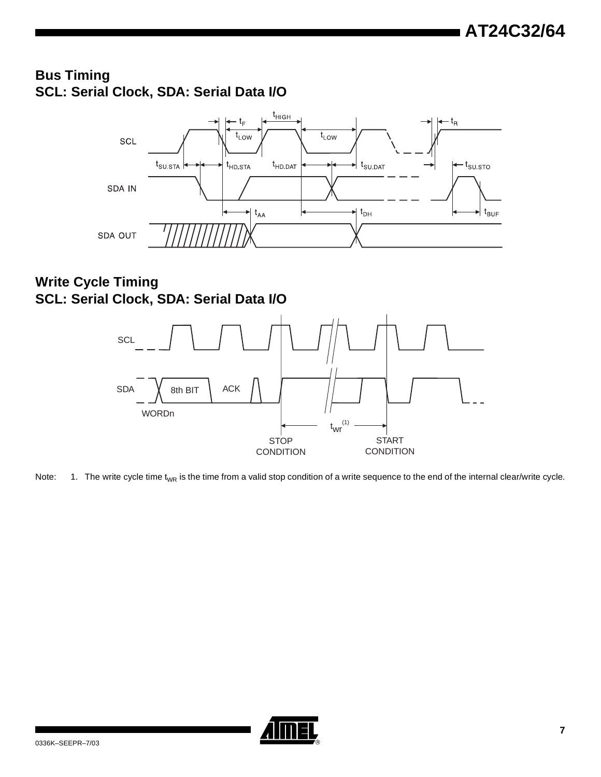### **Bus Timing SCL: Serial Clock, SDA: Serial Data I/O**



### **Write Cycle Timing SCL: Serial Clock, SDA: Serial Data I/O**



Note:  $1.$  The write cycle time t<sub>WR</sub> is the time from a valid stop condition of a write sequence to the end of the internal clear/write cycle.

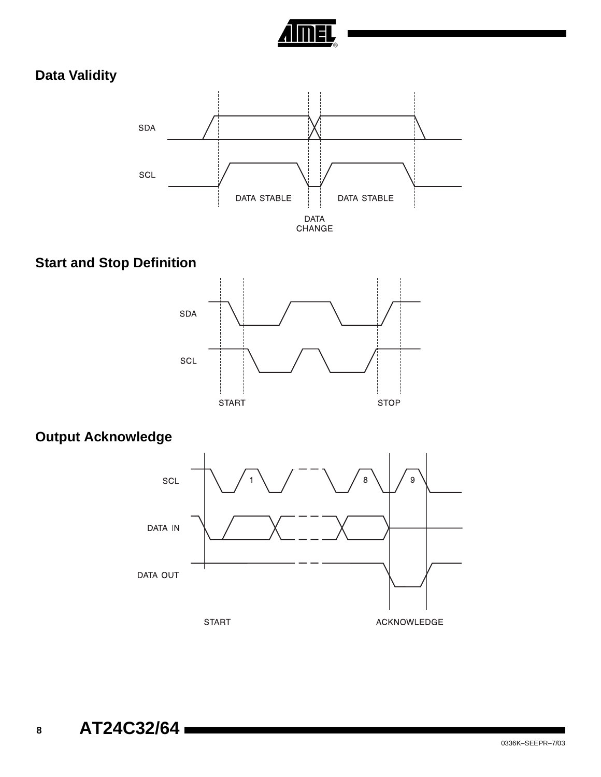

## **Data Validity**



## **Start and Stop Definition**



### **Output Acknowledge**



# **<sup>8</sup> AT24C32/64**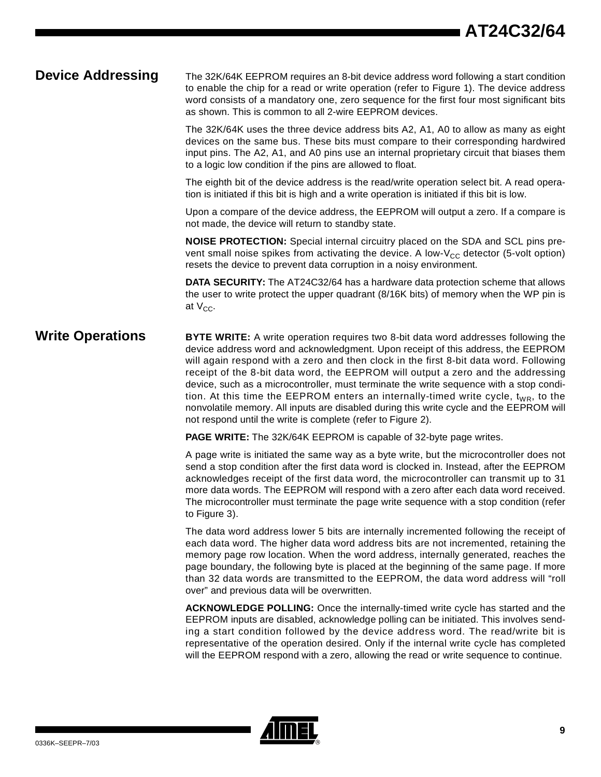**Device Addressing** The 32K/64K EEPROM requires an 8-bit device address word following a start condition to enable the chip for a read or write operation (refer to Figure 1). The device address word consists of a mandatory one, zero sequence for the first four most significant bits as shown. This is common to all 2-wire EEPROM devices.

> The 32K/64K uses the three device address bits A2, A1, A0 to allow as many as eight devices on the same bus. These bits must compare to their corresponding hardwired input pins. The A2, A1, and A0 pins use an internal proprietary circuit that biases them to a logic low condition if the pins are allowed to float.

> The eighth bit of the device address is the read/write operation select bit. A read operation is initiated if this bit is high and a write operation is initiated if this bit is low.

> Upon a compare of the device address, the EEPROM will output a zero. If a compare is not made, the device will return to standby state.

> **NOISE PROTECTION:** Special internal circuitry placed on the SDA and SCL pins prevent small noise spikes from activating the device. A low- $V_{CC}$  detector (5-volt option) resets the device to prevent data corruption in a noisy environment.

> **DATA SECURITY:** The AT24C32/64 has a hardware data protection scheme that allows the user to write protect the upper quadrant (8/16K bits) of memory when the WP pin is at  $V_{CC}$ .

#### **Write Operations BYTE WRITE:** A write operation requires two 8-bit data word addresses following the device address word and acknowledgment. Upon receipt of this address, the EEPROM will again respond with a zero and then clock in the first 8-bit data word. Following receipt of the 8-bit data word, the EEPROM will output a zero and the addressing device, such as a microcontroller, must terminate the write sequence with a stop condition. At this time the EEPROM enters an internally-timed write cycle,  $t_{WR}$ , to the nonvolatile memory. All inputs are disabled during this write cycle and the EEPROM will not respond until the write is complete (refer to Figure 2).

**PAGE WRITE:** The 32K/64K EEPROM is capable of 32-byte page writes.

A page write is initiated the same way as a byte write, but the microcontroller does not send a stop condition after the first data word is clocked in. Instead, after the EEPROM acknowledges receipt of the first data word, the microcontroller can transmit up to 31 more data words. The EEPROM will respond with a zero after each data word received. The microcontroller must terminate the page write sequence with a stop condition (refer to Figure 3).

The data word address lower 5 bits are internally incremented following the receipt of each data word. The higher data word address bits are not incremented, retaining the memory page row location. When the word address, internally generated, reaches the page boundary, the following byte is placed at the beginning of the same page. If more than 32 data words are transmitted to the EEPROM, the data word address will "roll over" and previous data will be overwritten.

**ACKNOWLEDGE POLLING:** Once the internally-timed write cycle has started and the EEPROM inputs are disabled, acknowledge polling can be initiated. This involves sending a start condition followed by the device address word. The read/write bit is representative of the operation desired. Only if the internal write cycle has completed will the EEPROM respond with a zero, allowing the read or write sequence to continue.

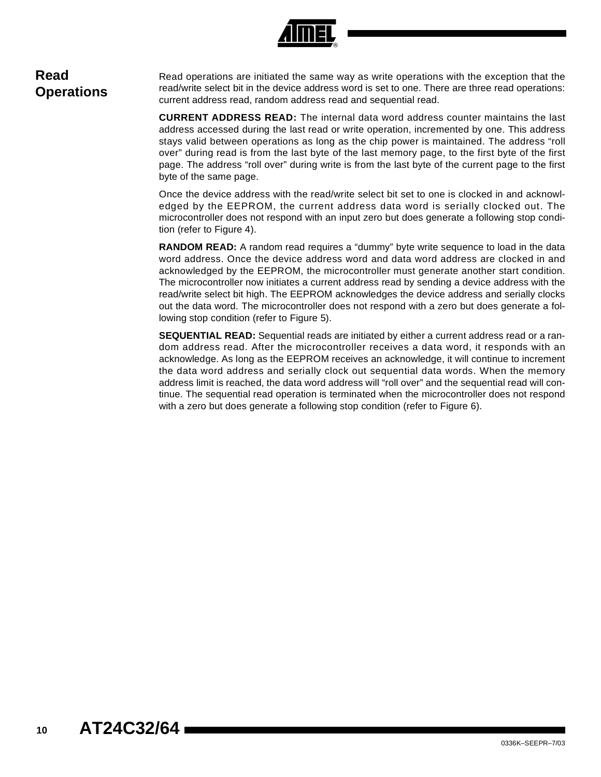

### **Read Operations**

Read operations are initiated the same way as write operations with the exception that the read/write select bit in the device address word is set to one. There are three read operations: current address read, random address read and sequential read.

**CURRENT ADDRESS READ:** The internal data word address counter maintains the last address accessed during the last read or write operation, incremented by one. This address stays valid between operations as long as the chip power is maintained. The address "roll over" during read is from the last byte of the last memory page, to the first byte of the first page. The address "roll over" during write is from the last byte of the current page to the first byte of the same page.

Once the device address with the read/write select bit set to one is clocked in and acknowledged by the EEPROM, the current address data word is serially clocked out. The microcontroller does not respond with an input zero but does generate a following stop condition (refer to Figure 4).

**RANDOM READ:** A random read requires a "dummy" byte write sequence to load in the data word address. Once the device address word and data word address are clocked in and acknowledged by the EEPROM, the microcontroller must generate another start condition. The microcontroller now initiates a current address read by sending a device address with the read/write select bit high. The EEPROM acknowledges the device address and serially clocks out the data word. The microcontroller does not respond with a zero but does generate a following stop condition (refer to Figure 5).

**SEQUENTIAL READ:** Sequential reads are initiated by either a current address read or a random address read. After the microcontroller receives a data word, it responds with an acknowledge. As long as the EEPROM receives an acknowledge, it will continue to increment the data word address and serially clock out sequential data words. When the memory address limit is reached, the data word address will "roll over" and the sequential read will continue. The sequential read operation is terminated when the microcontroller does not respond with a zero but does generate a following stop condition (refer to Figure 6).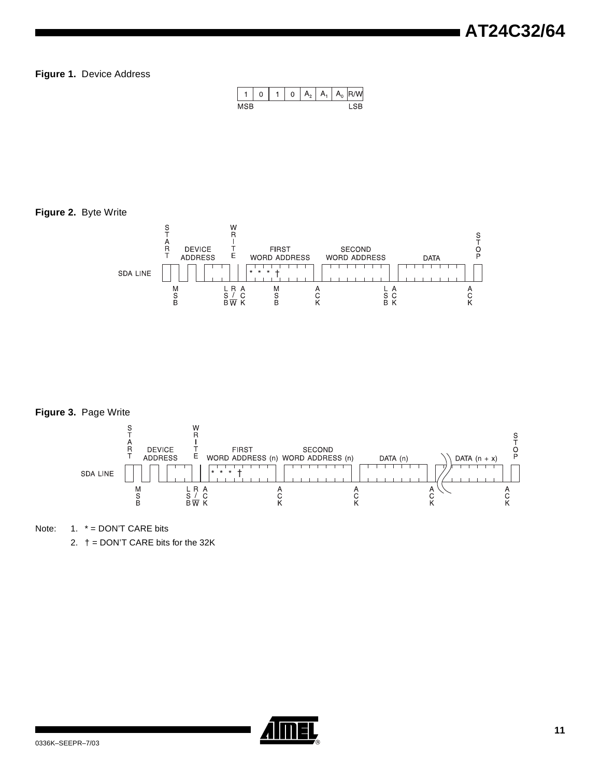# **AT24C32/64**

#### **Figure 1.** Device Address

|  |  | 0 | $\mathbf{I}$<br>$A_{2}$ | Α, | А. | 1/ V |
|--|--|---|-------------------------|----|----|------|
|  |  |   |                         |    |    |      |

#### **Figure 2.** Byte Write



#### **Figure 3.** Page Write



Note:  $1. * =$  DON'T CARE bits

2.  $\dagger$  = DON'T CARE bits for the 32K

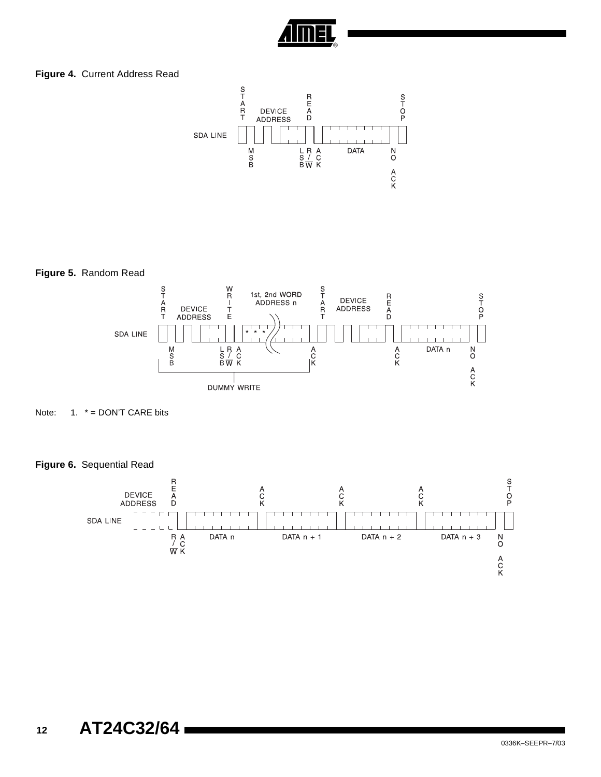

#### **Figure 4.** Current Address Read



**Figure 5.** Random Read







#### **Figure 6.** Sequential Read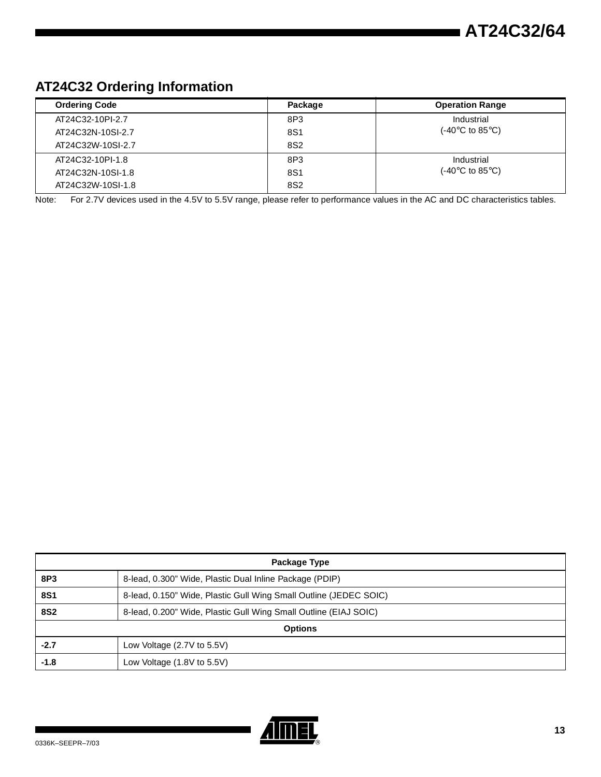### **AT24C32 Ordering Information**

| <b>Ordering Code</b> | Package         | <b>Operation Range</b>                   |
|----------------------|-----------------|------------------------------------------|
| AT24C32-10PI-2.7     | 8P3             | Industrial                               |
| AT24C32N-10SI-2.7    | 8S1             | $(-40^{\circ}$ C to 85 $^{\circ}$ C)     |
| AT24C32W-10SI-2.7    | 8S <sub>2</sub> |                                          |
| AT24C32-10PI-1.8     | 8P3             | Industrial                               |
| AT24C32N-10SI-1.8    | 8S1             | $(-40^{\circ}C \text{ to } 85^{\circ}C)$ |
| AT24C32W-10SI-1.8    | 8S <sub>2</sub> |                                          |

Note: For 2.7V devices used in the 4.5V to 5.5V range, please refer to performance values in the AC and DC characteristics tables.

| Package Type   |                                                                   |  |  |
|----------------|-------------------------------------------------------------------|--|--|
| 8P3            | 8-lead, 0.300" Wide, Plastic Dual Inline Package (PDIP)           |  |  |
| <b>8S1</b>     | 8-lead, 0.150" Wide, Plastic Gull Wing Small Outline (JEDEC SOIC) |  |  |
| <b>8S2</b>     | 8-lead, 0.200" Wide, Plastic Gull Wing Small Outline (EIAJ SOIC)  |  |  |
| <b>Options</b> |                                                                   |  |  |
| $-2.7$         | Low Voltage (2.7V to 5.5V)                                        |  |  |
| -1.8           | Low Voltage (1.8V to 5.5V)                                        |  |  |

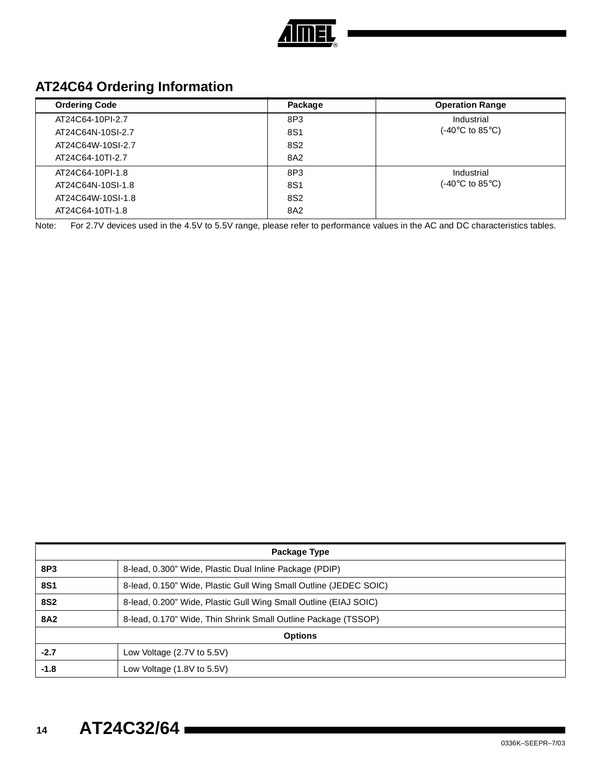

### **AT24C64 Ordering Information**

| <b>Ordering Code</b> | Package         | <b>Operation Range</b>                   |
|----------------------|-----------------|------------------------------------------|
| AT24C64-10PI-2.7     | 8P3             | Industrial                               |
| AT24C64N-10SI-2.7    | 8S1             | $(-40^{\circ}C \text{ to } 85^{\circ}C)$ |
| AT24C64W-10SI-2.7    | 8S2             |                                          |
| AT24C64-10TI-2.7     | 8A2             |                                          |
| AT24C64-10PI-1.8     | 8P3             | Industrial                               |
| AT24C64N-10SI-1.8    | 8S1             | $(-40^{\circ}$ C to 85 $^{\circ}$ C)     |
| AT24C64W-10SI-1.8    | 8S <sub>2</sub> |                                          |
| AT24C64-10TI-1.8     | 8A2             |                                          |

Note: For 2.7V devices used in the 4.5V to 5.5V range, please refer to performance values in the AC and DC characteristics tables.

| Package Type |                                                                   |  |  |
|--------------|-------------------------------------------------------------------|--|--|
| 8P3          | 8-lead, 0.300" Wide, Plastic Dual Inline Package (PDIP)           |  |  |
| <b>8S1</b>   | 8-lead, 0.150" Wide, Plastic Gull Wing Small Outline (JEDEC SOIC) |  |  |
| <b>8S2</b>   | 8-lead, 0.200" Wide, Plastic Gull Wing Small Outline (EIAJ SOIC)  |  |  |
| <b>8A2</b>   | 8-lead, 0.170" Wide, Thin Shrink Small Outline Package (TSSOP)    |  |  |
|              | <b>Options</b>                                                    |  |  |
| $-2.7$       | Low Voltage (2.7V to 5.5V)                                        |  |  |
| $-1.8$       | Low Voltage (1.8V to 5.5V)                                        |  |  |

# **<sup>14</sup> AT24C32/64**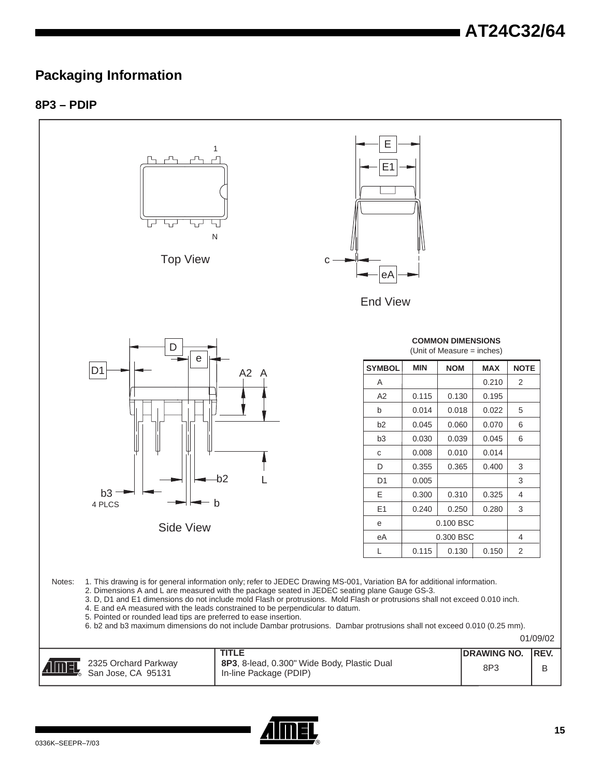### **Packaging Information**

### **8P3 – PDIP**



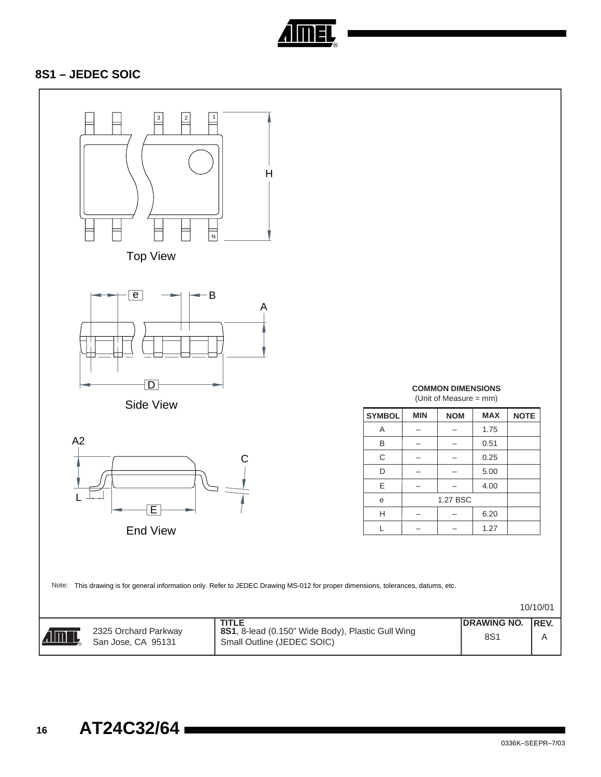

### **8S1 – JEDEC SOIC**

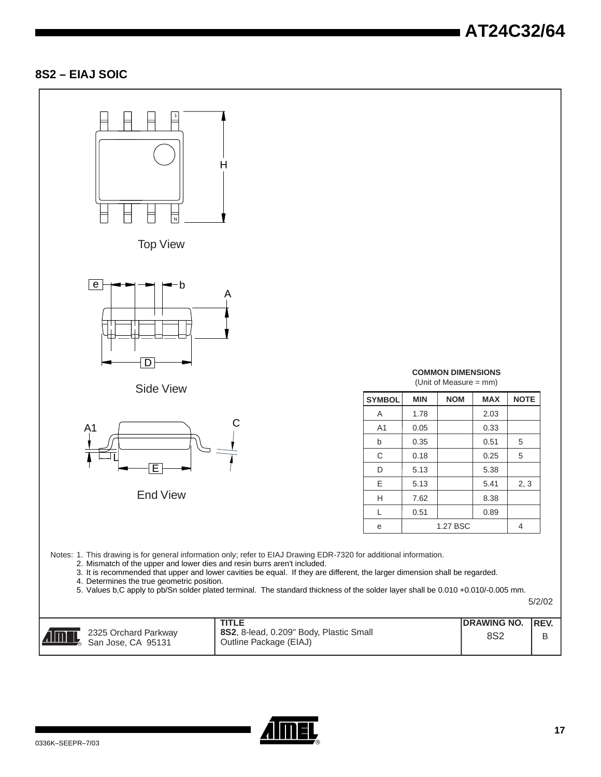# **AT24C32/64**

### **8S2 – EIAJ SOIC**



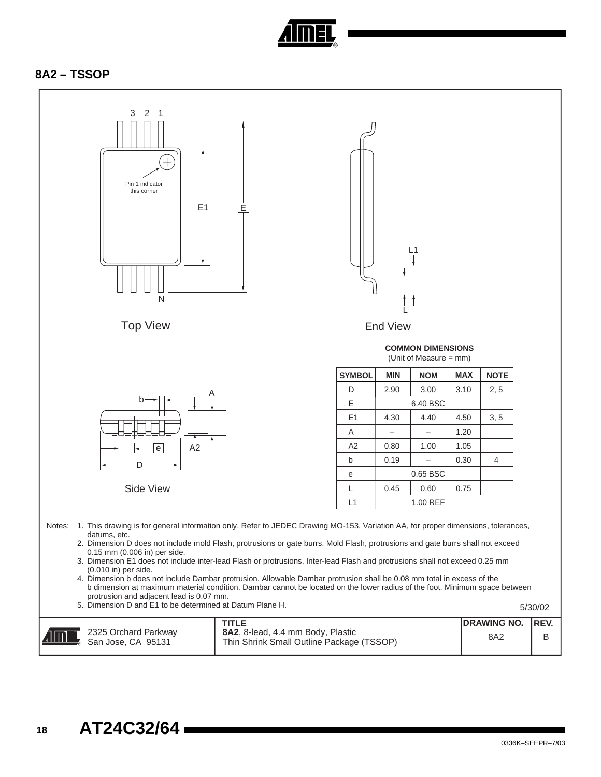

### **8A2 – TSSOP**